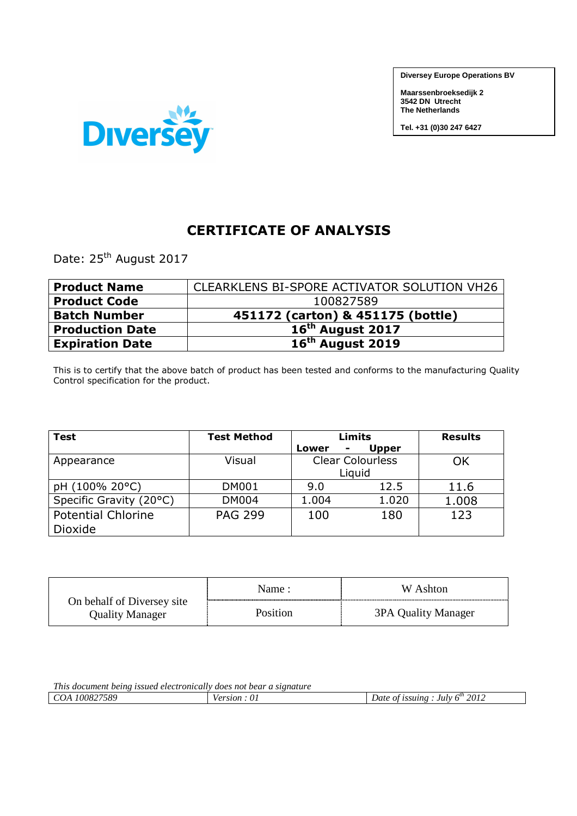**Diversey Europe Operations BV**

**Maarssenbroeksedijk 2 3542 DN Utrecht The Netherlands** 

**Tel. +31 (0)30 247 6427**



## **CERTIFICATE OF ANALYSIS**

Date: 25<sup>th</sup> August 2017

| <b>Product Name</b>    | CLEARKLENS BI-SPORE ACTIVATOR SOLUTION VH26 |
|------------------------|---------------------------------------------|
| <b>Product Code</b>    | 100827589                                   |
| <b>Batch Number</b>    | 451172 (carton) & 451175 (bottle)           |
| <b>Production Date</b> | 16 <sup>th</sup> August 2017                |
| <b>Expiration Date</b> | 16 <sup>th</sup> August 2019                |

This is to certify that the above batch of product has been tested and conforms to the manufacturing Quality Control specification for the product.

| <b>Test</b>               | <b>Test Method</b> |            | Limits                  | <b>Results</b> |
|---------------------------|--------------------|------------|-------------------------|----------------|
|                           |                    | Lower<br>۰ | <b>Upper</b>            |                |
| Appearance                | Visual             |            | <b>Clear Colourless</b> | ΟK             |
|                           |                    |            | Liquid                  |                |
| pH (100% 20°C)            | <b>DM001</b>       | 9.0        | 12.5                    | 11.6           |
| Specific Gravity (20°C)   | <b>DM004</b>       | 1.004      | 1.020                   | 1.008          |
| <b>Potential Chlorine</b> | <b>PAG 299</b>     | 100        | 180                     | 123            |
| Dioxide                   |                    |            |                         |                |

|                                               | Name:           | W Ashton            |
|-----------------------------------------------|-----------------|---------------------|
| On behalf of Diversey site<br>Quality Manager | <b>Position</b> | 3PA Quality Manager |

| <i>This</i><br>s document being issued electronically does not bear a signature |           |                                              |
|---------------------------------------------------------------------------------|-----------|----------------------------------------------|
| 100827589<br>COA                                                                | U<br>stor | . July $6^m$<br>2012<br>issuing<br>Date of " |